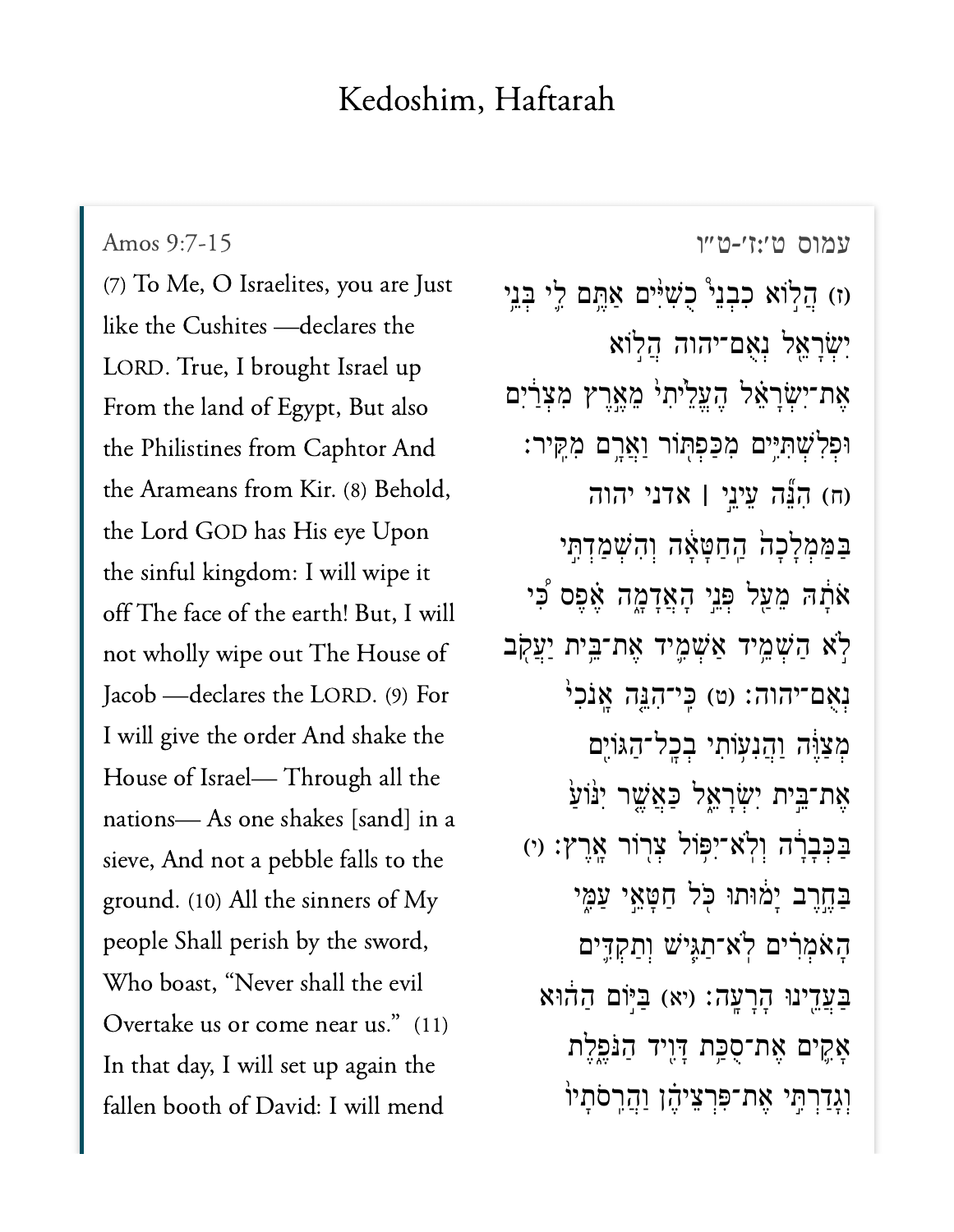## Kedoshim, Haftarah

Amos 9:7-15

(7) To Me, O Israelites, you are Just like the Cushites - declares the LORD. True, I brought Israel up From the land of Egypt, But also the Philistines from Caphtor And the Arameans from Kir. (8) Behold, the Lord GOD has His eye Upon the sinful kingdom: I will wipe it off The face of the earth! But, I will not wholly wipe out The House of Jacob - declares the LORD. (9) For I will give the order And shake the House of Israel-Through all the nations-As one shakes [sand] in a sieve, And not a pebble falls to the ground. (10) All the sinners of My people Shall perish by the sword, Who boast, "Never shall the evil Overtake us or come near us." (11) In that day, I will set up again the fallen booth of David: I will mend

עמוס ט׳:ז׳-ט״ו וז הַלְוֹא כִבְנֵי<sup>9</sup> כָשְׁיִּים אַחֱם לֵי בְּנֵי יִשְׂרָאֵל נְאָם־יהוה הֲלְוֹא אֶת־יִשְׂרָאֵל הֶעֱלֵיּתִי מֵאֱרֶץ מִצְרַיִם וּפִלְשָׁתְיֵּים מִכַּפְתְּוֹר וַאֲרֵם מְקֵיר: (ה) הְגֶּה עֲיְנֵי | אדני יהוה בַּמַּמְלָכָהֹ הַחַטָּאָה וְהִשְׁמַדְתֵּי אֹתָה מֵעַל פְּנֵי הָאֲדָמֶה אֶפֶס כִּי לְא הַשָּׁמֵיד אֲשָׁמֵיד אֲת־בֵּית יַעֲקָב נְאָם־יהוה: (ט) כֵּי־הָגֵּה אֲנֹכִי מִצַּוֶּה וַהֲנְעִוֹתִי בְכָל־הַגּוֹיֵם אֶת־בֵּית יְשְׂרָאֱל כַּאֲשֱר יִנּוֹעַ בַּבְּבָרָה וְלְאִ־יִפְּוֹל צְרְוֹר אֲרֵץְ: וִי בַחֱרֵב יַמוּתוּ כִּל חַטַאֵי עַמֶּי הָאֹמְרִים לְאִ־תַגְּיֹשׁ וְתַקְדֵּים בַּעֲדֶינוּ הָרָעָה: (יא) בּיּוֹם הַהוֹא אָקֵים אֵת־סָכָּת דָּוֶיד הַנֹּפֵלֵת וְגַדַרְתִּי אֶת־פִּרְצֵיהֶן וַהֲרֲסֹתָיוֹ